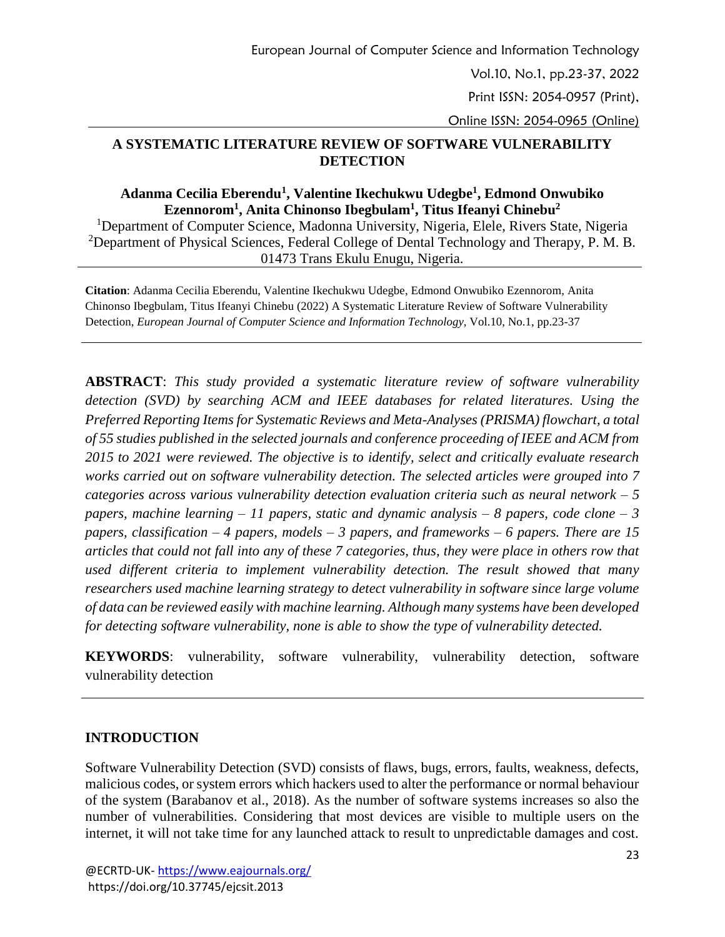## **A SYSTEMATIC LITERATURE REVIEW OF SOFTWARE VULNERABILITY DETECTION**

### **Adanma Cecilia Eberendu<sup>1</sup> , Valentine Ikechukwu Udegbe<sup>1</sup> , Edmond Onwubiko Ezennorom<sup>1</sup> , Anita Chinonso Ibegbulam<sup>1</sup> , Titus Ifeanyi Chinebu<sup>2</sup>**

<sup>1</sup>Department of Computer Science, Madonna University, Nigeria, Elele, Rivers State, Nigeria <sup>2</sup>Department of Physical Sciences, Federal College of Dental Technology and Therapy, P. M. B. 01473 Trans Ekulu Enugu, Nigeria.

**Citation**: Adanma Cecilia Eberendu, Valentine Ikechukwu Udegbe, Edmond Onwubiko Ezennorom, Anita Chinonso Ibegbulam, Titus Ifeanyi Chinebu (2022) A Systematic Literature Review of Software Vulnerability Detection, *European Journal of Computer Science and Information Technology*, Vol.10, No.1, pp.23-37

**ABSTRACT**: *This study provided a systematic literature review of software vulnerability detection (SVD) by searching ACM and IEEE databases for related literatures. Using the Preferred Reporting Items for Systematic Reviews and Meta-Analyses (PRISMA) flowchart, a total of 55 studies published in the selected journals and conference proceeding of IEEE and ACM from 2015 to 2021 were reviewed. The objective is to identify, select and critically evaluate research works carried out on software vulnerability detection. The selected articles were grouped into 7 categories across various vulnerability detection evaluation criteria such as neural network – 5 papers, machine learning – 11 papers, static and dynamic analysis – 8 papers, code clone – 3 papers, classification – 4 papers, models – 3 papers, and frameworks – 6 papers. There are 15 articles that could not fall into any of these 7 categories, thus, they were place in others row that used different criteria to implement vulnerability detection. The result showed that many researchers used machine learning strategy to detect vulnerability in software since large volume of data can be reviewed easily with machine learning. Although many systems have been developed for detecting software vulnerability, none is able to show the type of vulnerability detected.*

**KEYWORDS**: vulnerability, software vulnerability, vulnerability detection, software vulnerability detection

# **INTRODUCTION**

Software Vulnerability Detection (SVD) consists of flaws, bugs, errors, faults, weakness, defects, malicious codes, or system errors which hackers used to alter the performance or normal behaviour of the system (Barabanov et al., 2018). As the number of software systems increases so also the number of vulnerabilities. Considering that most devices are visible to multiple users on the internet, it will not take time for any launched attack to result to unpredictable damages and cost.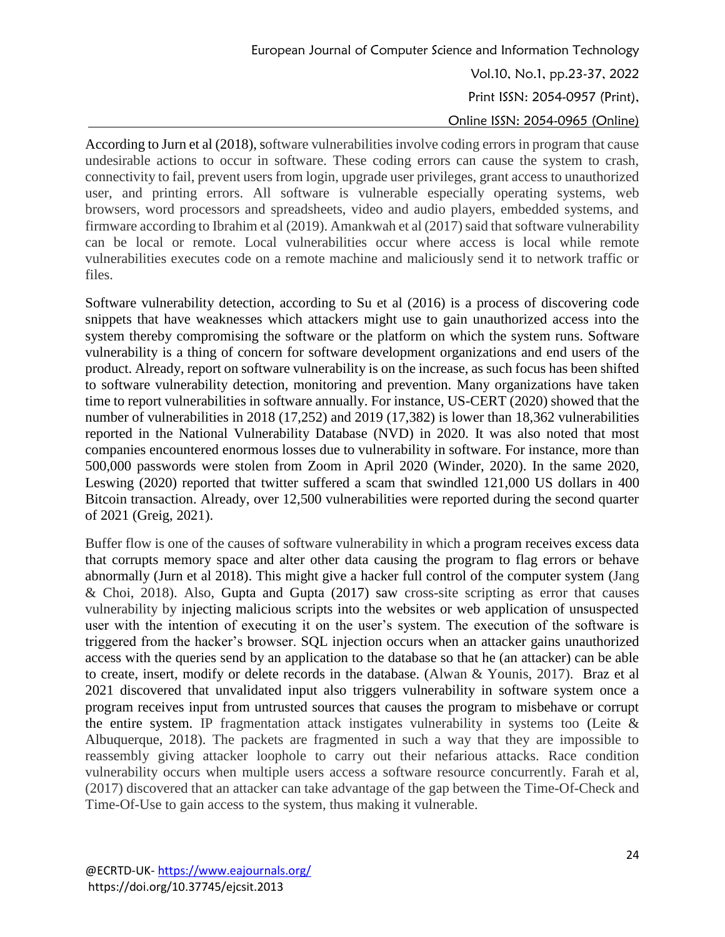According to Jurn et al (2018), software vulnerabilities involve coding errors in program that cause undesirable actions to occur in software. These coding errors can cause the system to crash, connectivity to fail, prevent users from login, upgrade user privileges, grant access to unauthorized user, and printing errors. All software is vulnerable especially operating systems, web browsers, word processors and spreadsheets, video and audio players, embedded systems, and firmware according to Ibrahim et al  $(2019)$ . Amankwah et al  $(2017)$  said that software vulnerability can be local or remote. Local vulnerabilities occur where access is local while remote vulnerabilities executes code on a remote machine and maliciously send it to network traffic or files.

Software vulnerability detection, according to Su et al (2016) is a process of discovering code snippets that have weaknesses which attackers might use to gain unauthorized access into the system thereby compromising the software or the platform on which the system runs. Software vulnerability is a thing of concern for software development organizations and end users of the product. Already, report on software vulnerability is on the increase, as such focus has been shifted to software vulnerability detection, monitoring and prevention. Many organizations have taken time to report vulnerabilities in software annually. For instance, US-CERT (2020) showed that the number of vulnerabilities in 2018 (17,252) and 2019 (17,382) is lower than 18,362 vulnerabilities reported in the National Vulnerability Database (NVD) in 2020. It was also noted that most companies encountered enormous losses due to vulnerability in software. For instance, more than 500,000 passwords were stolen from Zoom in April 2020 (Winder, 2020). In the same 2020, Leswing (2020) reported that twitter suffered a scam that swindled 121,000 US dollars in 400 Bitcoin transaction. Already, over 12,500 vulnerabilities were reported during the second quarter of 2021 (Greig, 2021).

Buffer flow is one of the causes of software vulnerability in which a program receives excess data that corrupts memory space and alter other data causing the program to flag errors or behave abnormally (Jurn et al 2018). This might give a hacker full control of the computer system (Jang & Choi, 2018). Also, Gupta and Gupta (2017) saw cross-site scripting as error that causes vulnerability by injecting malicious scripts into the websites or web application of unsuspected user with the intention of executing it on the user's system. The execution of the software is triggered from the hacker's browser. SQL injection occurs when an attacker gains unauthorized access with the queries send by an application to the database so that he (an attacker) can be able to create, insert, modify or delete records in the database. (Alwan & Younis, 2017). Braz et al 2021 discovered that unvalidated input also triggers vulnerability in software system once a program receives input from untrusted sources that causes the program to misbehave or corrupt the entire system. IP fragmentation attack instigates vulnerability in systems too (Leite  $\&$ Albuquerque, 2018). The packets are fragmented in such a way that they are impossible to reassembly giving attacker loophole to carry out their nefarious attacks. Race condition vulnerability occurs when multiple users access a software resource concurrently. Farah et al, (2017) discovered that an attacker can take advantage of the gap between the Time-Of-Check and Time-Of-Use to gain access to the system, thus making it vulnerable.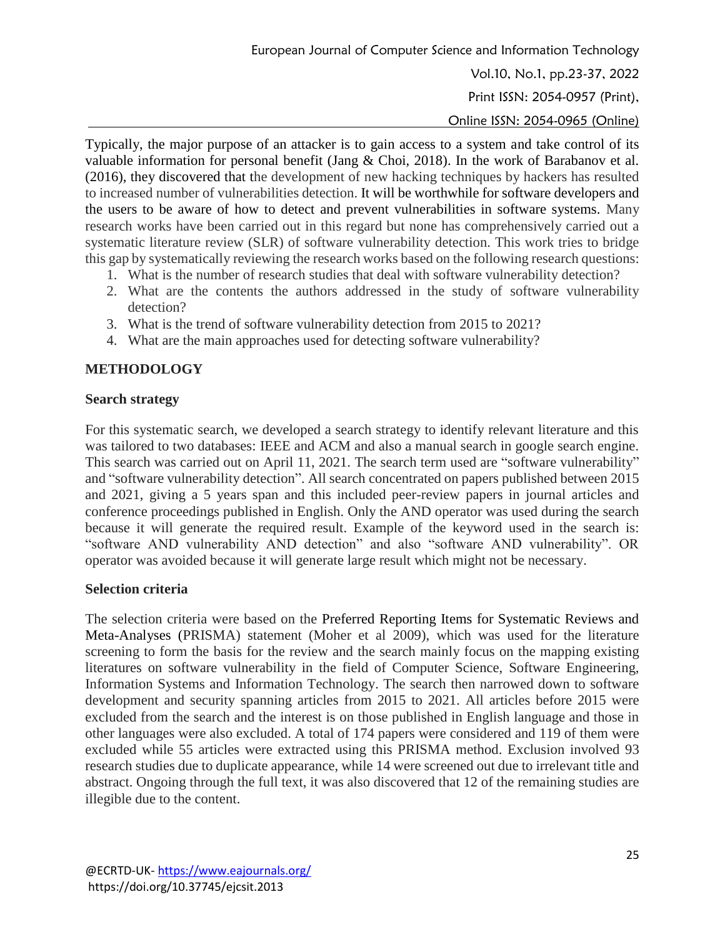Typically, the major purpose of an attacker is to gain access to a system and take control of its valuable information for personal benefit (Jang & Choi, 2018). In the work of Barabanov et al. (2016), they discovered that the development of new hacking techniques by hackers has resulted to increased number of vulnerabilities detection. It will be worthwhile for software developers and the users to be aware of how to detect and prevent vulnerabilities in software systems. Many research works have been carried out in this regard but none has comprehensively carried out a systematic literature review (SLR) of software vulnerability detection. This work tries to bridge this gap by systematically reviewing the research works based on the following research questions:

- 1. What is the number of research studies that deal with software vulnerability detection?
- 2. What are the contents the authors addressed in the study of software vulnerability detection?
- 3. What is the trend of software vulnerability detection from 2015 to 2021?
- 4. What are the main approaches used for detecting software vulnerability?

### **METHODOLOGY**

#### **Search strategy**

For this systematic search, we developed a search strategy to identify relevant literature and this was tailored to two databases: IEEE and ACM and also a manual search in google search engine. This search was carried out on April 11, 2021. The search term used are "software vulnerability" and "software vulnerability detection". All search concentrated on papers published between 2015 and 2021, giving a 5 years span and this included peer-review papers in journal articles and conference proceedings published in English. Only the AND operator was used during the search because it will generate the required result. Example of the keyword used in the search is: "software AND vulnerability AND detection" and also "software AND vulnerability". OR operator was avoided because it will generate large result which might not be necessary.

#### **Selection criteria**

The selection criteria were based on the Preferred Reporting Items for Systematic Reviews and Meta-Analyses (PRISMA) statement (Moher et al 2009), which was used for the literature screening to form the basis for the review and the search mainly focus on the mapping existing literatures on software vulnerability in the field of Computer Science, Software Engineering, Information Systems and Information Technology. The search then narrowed down to software development and security spanning articles from 2015 to 2021. All articles before 2015 were excluded from the search and the interest is on those published in English language and those in other languages were also excluded. A total of 174 papers were considered and 119 of them were excluded while 55 articles were extracted using this PRISMA method. Exclusion involved 93 research studies due to duplicate appearance, while 14 were screened out due to irrelevant title and abstract. Ongoing through the full text, it was also discovered that 12 of the remaining studies are illegible due to the content.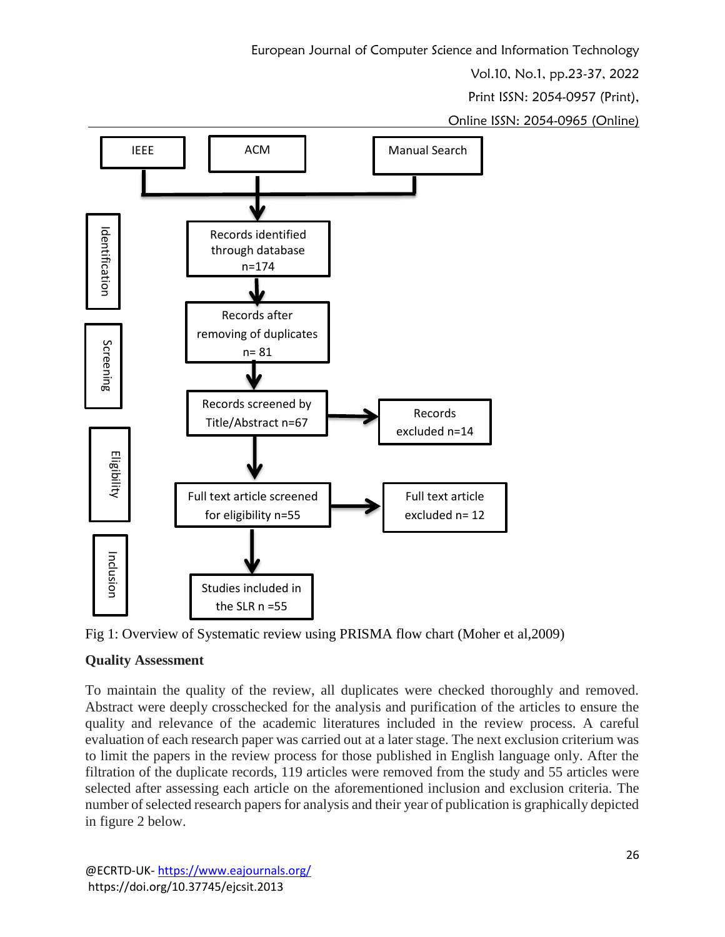European Journal of Computer Science and Information Technology

Vol.10, No.1, pp.23-37, 2022

Print ISSN: 2054-0957 (Print),

Online ISSN: 2054-0965 (Online)





# **Quality Assessment**

To maintain the quality of the review, all duplicates were checked thoroughly and removed. Abstract were deeply crosschecked for the analysis and purification of the articles to ensure the quality and relevance of the academic literatures included in the review process. A careful evaluation of each research paper was carried out at a later stage. The next exclusion criterium was to limit the papers in the review process for those published in English language only. After the filtration of the duplicate records, 119 articles were removed from the study and 55 articles were selected after assessing each article on the aforementioned inclusion and exclusion criteria. The number of selected research papers for analysis and their year of publication is graphically depicted in figure 2 below.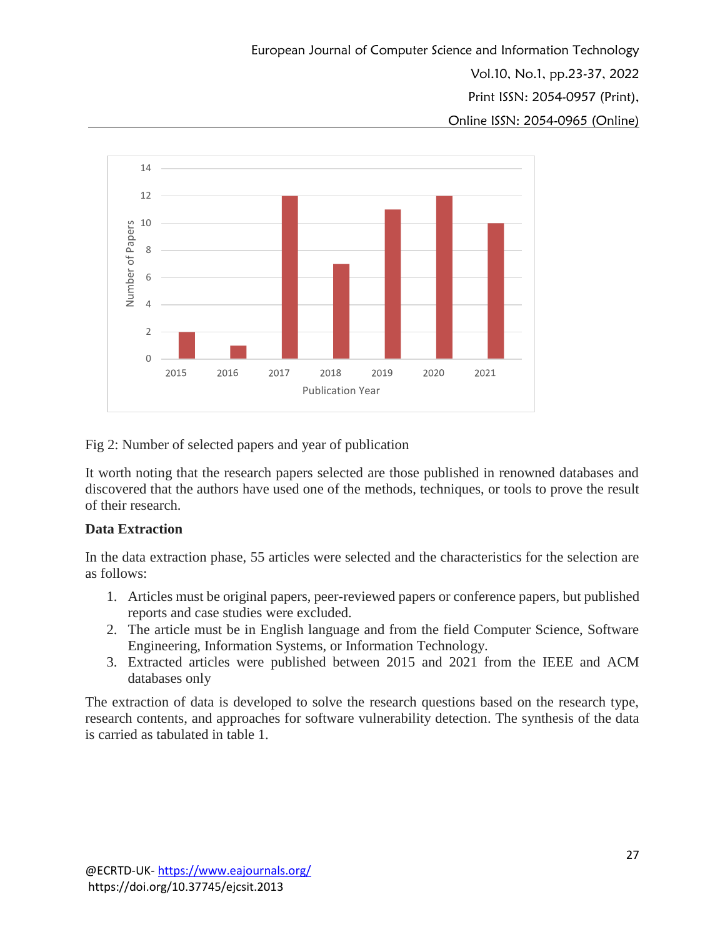European Journal of Computer Science and Information Technology Vol.10, No.1, pp.23-37, 2022 Print ISSN: 2054-0957 (Print), Online ISSN: 2054-0965 (Online)



Fig 2: Number of selected papers and year of publication

It worth noting that the research papers selected are those published in renowned databases and discovered that the authors have used one of the methods, techniques, or tools to prove the result of their research.

### **Data Extraction**

In the data extraction phase, 55 articles were selected and the characteristics for the selection are as follows:

- 1. Articles must be original papers, peer-reviewed papers or conference papers, but published reports and case studies were excluded.
- 2. The article must be in English language and from the field Computer Science, Software Engineering, Information Systems, or Information Technology.
- 3. Extracted articles were published between 2015 and 2021 from the IEEE and ACM databases only

The extraction of data is developed to solve the research questions based on the research type, research contents, and approaches for software vulnerability detection. The synthesis of the data is carried as tabulated in table 1.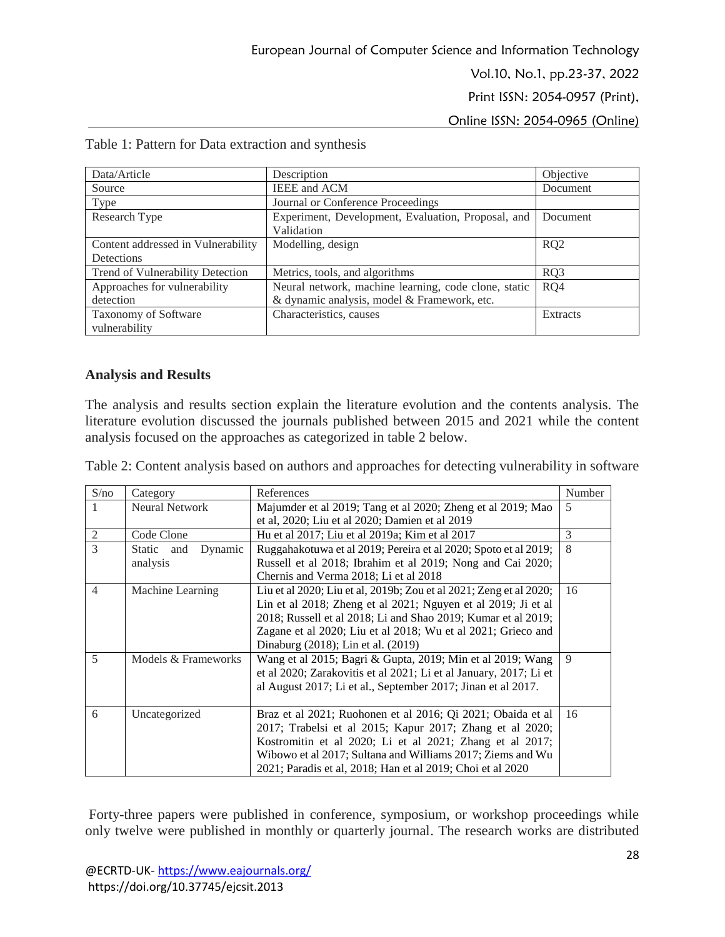| Data/Article                       | Description                                          | Objective       |
|------------------------------------|------------------------------------------------------|-----------------|
| Source                             | <b>IEEE</b> and ACM                                  | Document        |
| Type                               | Journal or Conference Proceedings                    |                 |
| Research Type                      | Experiment, Development, Evaluation, Proposal, and   | Document        |
|                                    | Validation                                           |                 |
| Content addressed in Vulnerability | Modelling, design                                    | RQ <sub>2</sub> |
| Detections                         |                                                      |                 |
| Trend of Vulnerability Detection   | Metrics, tools, and algorithms                       | RQ3             |
| Approaches for vulnerability       | Neural network, machine learning, code clone, static | RQ4             |
| detection                          | & dynamic analysis, model & Framework, etc.          |                 |
| Taxonomy of Software               | Characteristics, causes                              | Extracts        |
| vulnerability                      |                                                      |                 |

Table 1: Pattern for Data extraction and synthesis

#### **Analysis and Results**

The analysis and results section explain the literature evolution and the contents analysis. The literature evolution discussed the journals published between 2015 and 2021 while the content analysis focused on the approaches as categorized in table 2 below.

Table 2: Content analysis based on authors and approaches for detecting vulnerability in software

| S/no           | Category                 | References                                                         | Number        |
|----------------|--------------------------|--------------------------------------------------------------------|---------------|
|                | Neural Network           | Majumder et al 2019; Tang et al 2020; Zheng et al 2019; Mao        | 5             |
|                |                          | et al, 2020; Liu et al 2020; Damien et al 2019                     |               |
| $\overline{2}$ | Code Clone               | Hu et al 2017; Liu et al 2019a; Kim et al 2017                     | $\mathcal{R}$ |
| $\mathcal{R}$  | Static<br>Dynamic<br>and | Ruggahakotuwa et al 2019; Pereira et al 2020; Spoto et al 2019;    | 8             |
|                | analysis                 | Russell et al 2018; Ibrahim et al 2019; Nong and Cai 2020;         |               |
|                |                          | Chernis and Verma 2018; Li et al 2018                              |               |
| $\overline{4}$ | Machine Learning         | Liu et al 2020; Liu et al, 2019b; Zou et al 2021; Zeng et al 2020; | 16            |
|                |                          | Lin et al 2018; Zheng et al 2021; Nguyen et al 2019; Ji et al      |               |
|                |                          | 2018; Russell et al 2018; Li and Shao 2019; Kumar et al 2019;      |               |
|                |                          | Zagane et al 2020; Liu et al 2018; Wu et al 2021; Grieco and       |               |
|                |                          | Dinaburg (2018); Lin et al. (2019)                                 |               |
| 5              | Models & Frameworks      | Wang et al 2015; Bagri & Gupta, 2019; Min et al 2019; Wang         | 9             |
|                |                          | et al 2020; Zarakovitis et al 2021; Li et al January, 2017; Li et  |               |
|                |                          | al August 2017; Li et al., September 2017; Jinan et al 2017.       |               |
|                |                          |                                                                    |               |
| 6              | Uncategorized            | Braz et al 2021; Ruohonen et al 2016; Qi 2021; Obaida et al        | 16            |
|                |                          | 2017; Trabelsi et al 2015; Kapur 2017; Zhang et al 2020;           |               |
|                |                          | Kostromitin et al 2020; Li et al 2021; Zhang et al 2017;           |               |
|                |                          | Wibowo et al 2017; Sultana and Williams 2017; Ziems and Wu         |               |
|                |                          | 2021; Paradis et al, 2018; Han et al 2019; Choi et al 2020         |               |

Forty-three papers were published in conference, symposium, or workshop proceedings while only twelve were published in monthly or quarterly journal. The research works are distributed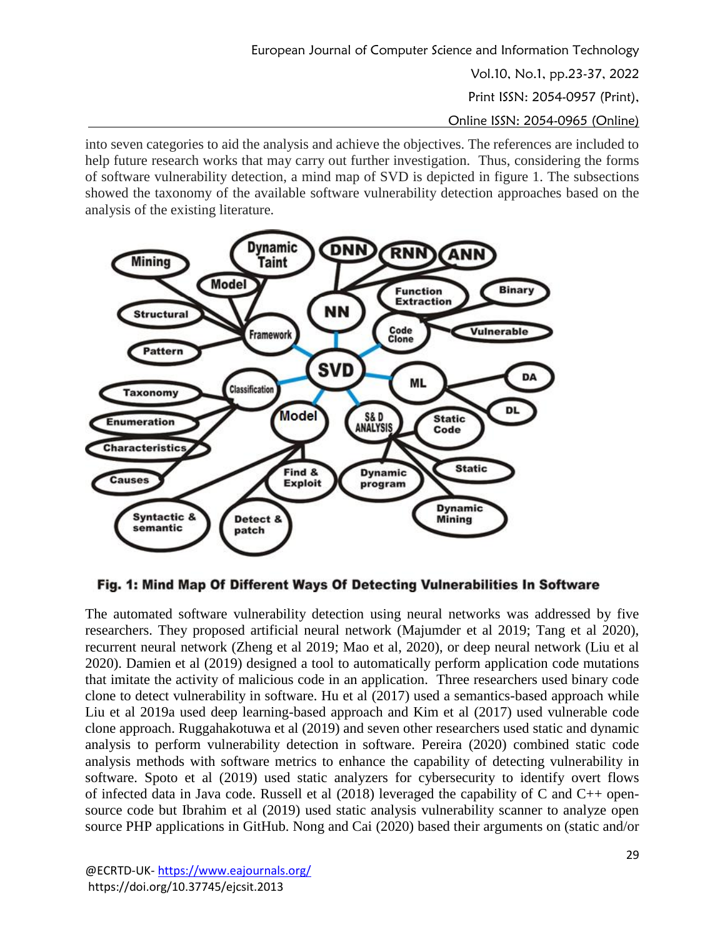into seven categories to aid the analysis and achieve the objectives. The references are included to help future research works that may carry out further investigation. Thus, considering the forms of software vulnerability detection, a mind map of SVD is depicted in figure 1. The subsections showed the taxonomy of the available software vulnerability detection approaches based on the analysis of the existing literature.



Fig. 1: Mind Map Of Different Ways Of Detecting Vulnerabilities In Software

The automated software vulnerability detection using neural networks was addressed by five researchers. They proposed artificial neural network (Majumder et al 2019; Tang et al 2020), recurrent neural network (Zheng et al 2019; Mao et al, 2020), or deep neural network (Liu et al 2020). Damien et al (2019) designed a tool to automatically perform application code mutations that imitate the activity of malicious code in an application. Three researchers used binary code clone to detect vulnerability in software. Hu et al (2017) used a semantics-based approach while Liu et al 2019a used deep learning-based approach and Kim et al (2017) used vulnerable code clone approach. Ruggahakotuwa et al (2019) and seven other researchers used static and dynamic analysis to perform vulnerability detection in software. Pereira (2020) combined static code analysis methods with software metrics to enhance the capability of detecting vulnerability in software. Spoto et al (2019) used static analyzers for cybersecurity to identify overt flows of infected data in Java code. Russell et al (2018) leveraged the capability of C and C++ opensource code but Ibrahim et al (2019) used static analysis vulnerability scanner to analyze open source PHP applications in GitHub. Nong and Cai (2020) based their arguments on (static and/or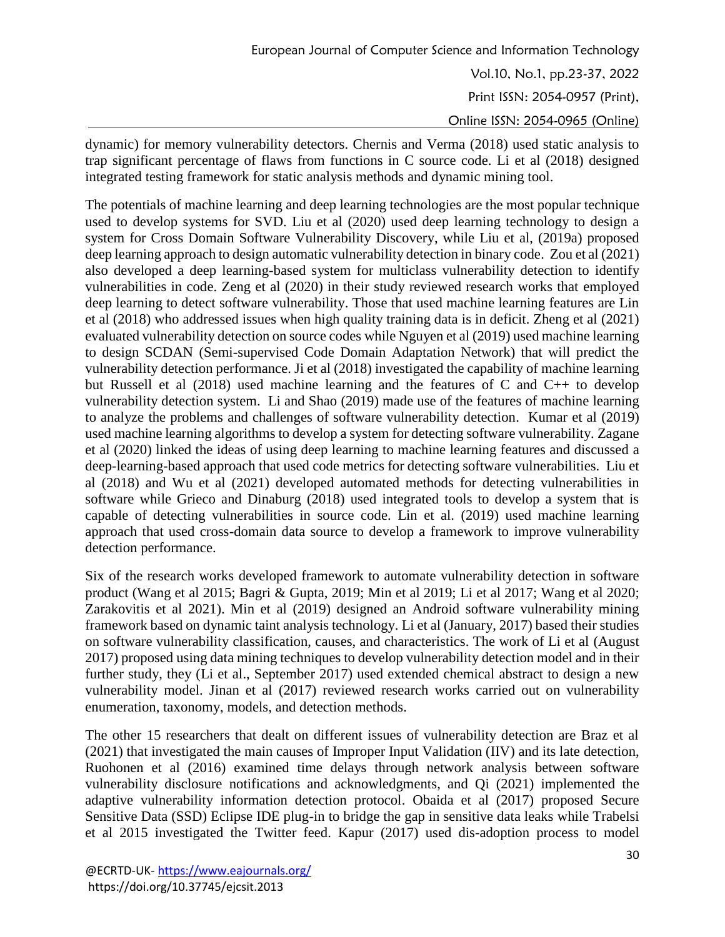dynamic) for memory vulnerability detectors. Chernis and Verma (2018) used static analysis to trap significant percentage of flaws from functions in C source code. Li et al (2018) designed integrated testing framework for static analysis methods and dynamic mining tool.

The potentials of machine learning and deep learning technologies are the most popular technique used to develop systems for SVD. Liu et al (2020) used deep learning technology to design a system for Cross Domain Software Vulnerability Discovery, while Liu et al, (2019a) proposed deep learning approach to design automatic vulnerability detection in binary code. Zou et al (2021) also developed a deep learning-based system for multiclass vulnerability detection to identify vulnerabilities in code. Zeng et al (2020) in their study reviewed research works that employed deep learning to detect software vulnerability. Those that used machine learning features are Lin et al (2018) who addressed issues when high quality training data is in deficit. Zheng et al (2021) evaluated vulnerability detection on source codes while Nguyen et al (2019) used machine learning to design SCDAN (Semi-supervised Code Domain Adaptation Network) that will predict the vulnerability detection performance. Ji et al (2018) investigated the capability of machine learning but Russell et al (2018) used machine learning and the features of C and C++ to develop vulnerability detection system. Li and Shao (2019) made use of the features of machine learning to analyze the problems and challenges of software vulnerability detection. Kumar et al (2019) used machine learning algorithms to develop a system for detecting software vulnerability. Zagane et al (2020) linked the ideas of using deep learning to machine learning features and discussed a deep-learning-based approach that used code metrics for detecting software vulnerabilities. Liu et al (2018) and Wu et al (2021) developed automated methods for detecting vulnerabilities in software while Grieco and Dinaburg (2018) used integrated tools to develop a system that is capable of detecting vulnerabilities in source code. Lin et al. (2019) used machine learning approach that used cross-domain data source to develop a framework to improve vulnerability detection performance.

Six of the research works developed framework to automate vulnerability detection in software product (Wang et al 2015; Bagri & Gupta, 2019; Min et al 2019; Li et al 2017; Wang et al 2020; Zarakovitis et al 2021). Min et al (2019) designed an Android software vulnerability mining framework based on dynamic taint analysis technology. Li et al (January, 2017) based their studies on software vulnerability classification, causes, and characteristics. The work of Li et al (August 2017) proposed using data mining techniques to develop vulnerability detection model and in their further study, they (Li et al., September 2017) used extended chemical abstract to design a new vulnerability model. Jinan et al (2017) reviewed research works carried out on vulnerability enumeration, taxonomy, models, and detection methods.

The other 15 researchers that dealt on different issues of vulnerability detection are Braz et al (2021) that investigated the main causes of Improper Input Validation (IIV) and its late detection, Ruohonen et al (2016) examined time delays through network analysis between software vulnerability disclosure notifications and acknowledgments, and Qi (2021) implemented the adaptive vulnerability information detection protocol. Obaida et al (2017) proposed Secure Sensitive Data (SSD) Eclipse IDE plug-in to bridge the gap in sensitive data leaks while Trabelsi et al 2015 investigated the Twitter feed. Kapur (2017) used dis-adoption process to model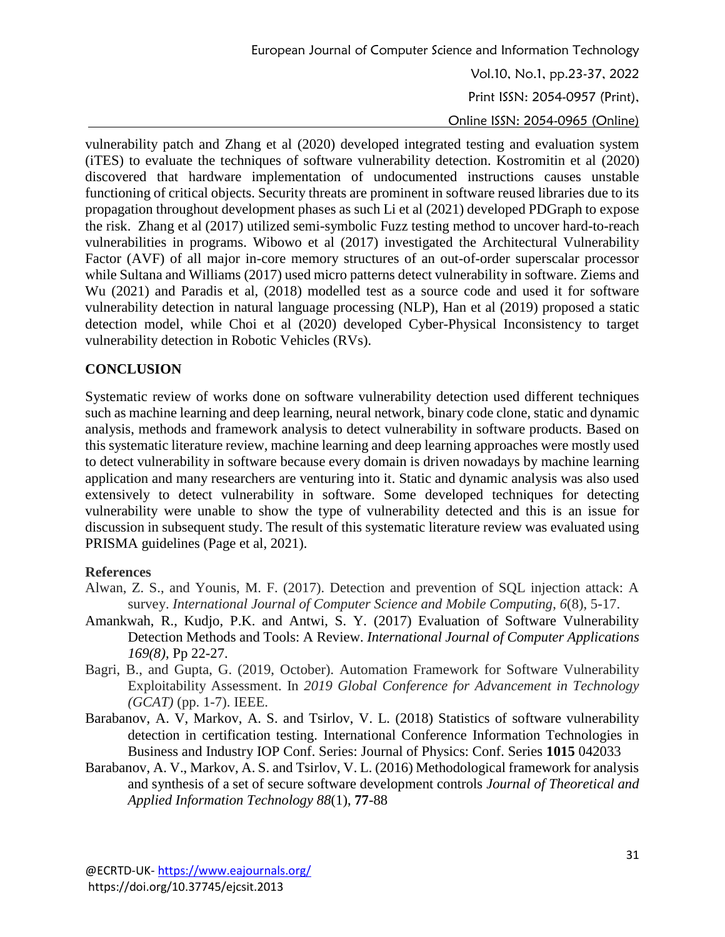vulnerability patch and Zhang et al (2020) developed integrated testing and evaluation system (iTES) to evaluate the techniques of software vulnerability detection. Kostromitin et al (2020) discovered that hardware implementation of undocumented instructions causes unstable functioning of critical objects. Security threats are prominent in software reused libraries due to its propagation throughout development phases as such Li et al (2021) developed PDGraph to expose the risk. Zhang et al (2017) utilized semi-symbolic Fuzz testing method to uncover hard-to-reach vulnerabilities in programs. Wibowo et al (2017) investigated the Architectural Vulnerability Factor (AVF) of all major in-core memory structures of an out-of-order superscalar processor while Sultana and Williams (2017) used micro patterns detect vulnerability in software. Ziems and Wu (2021) and Paradis et al, (2018) modelled test as a source code and used it for software vulnerability detection in natural language processing (NLP), Han et al (2019) proposed a static detection model, while Choi et al (2020) developed Cyber-Physical Inconsistency to target vulnerability detection in Robotic Vehicles (RVs).

# **CONCLUSION**

Systematic review of works done on software vulnerability detection used different techniques such as machine learning and deep learning, neural network, binary code clone, static and dynamic analysis, methods and framework analysis to detect vulnerability in software products. Based on this systematic literature review, machine learning and deep learning approaches were mostly used to detect vulnerability in software because every domain is driven nowadays by machine learning application and many researchers are venturing into it. Static and dynamic analysis was also used extensively to detect vulnerability in software. Some developed techniques for detecting vulnerability were unable to show the type of vulnerability detected and this is an issue for discussion in subsequent study. The result of this systematic literature review was evaluated using PRISMA guidelines (Page et al, 2021).

# **References**

- Alwan, Z. S., and Younis, M. F. (2017). Detection and prevention of SQL injection attack: A survey. *International Journal of Computer Science and Mobile Computing*, *6*(8), 5-17.
- Amankwah, R., Kudjo, P.K. and Antwi, S. Y. (2017) Evaluation of Software Vulnerability Detection Methods and Tools: A Review. *International Journal of Computer Applications 169(8),* Pp 22-27.
- Bagri, B., and Gupta, G. (2019, October). Automation Framework for Software Vulnerability Exploitability Assessment. In *2019 Global Conference for Advancement in Technology (GCAT)* (pp. 1-7). IEEE.
- Barabanov, A. V, Markov, A. S. and Tsirlov, V. L. (2018) Statistics of software vulnerability detection in certification testing. International Conference Information Technologies in Business and Industry IOP Conf. Series: Journal of Physics: Conf. Series **1015** 042033
- Barabanov, A. V., Markov, A. S. and Tsirlov, V. L. (2016) Methodological framework for analysis and synthesis of a set of secure software development controls *Journal of Theoretical and Applied Information Technology 88*(1), **77**-88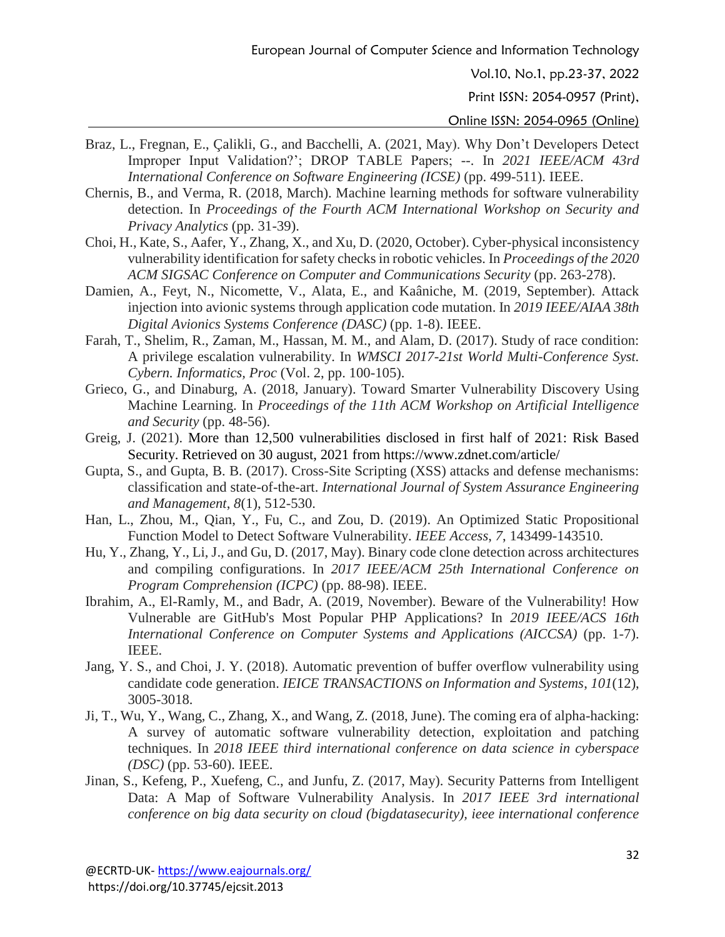Print ISSN: 2054-0957 (Print),

- Braz, L., Fregnan, E., Çalikli, G., and Bacchelli, A. (2021, May). Why Don't Developers Detect Improper Input Validation?'; DROP TABLE Papers; --. In *2021 IEEE/ACM 43rd International Conference on Software Engineering (ICSE)* (pp. 499-511). IEEE.
- Chernis, B., and Verma, R. (2018, March). Machine learning methods for software vulnerability detection. In *Proceedings of the Fourth ACM International Workshop on Security and Privacy Analytics* (pp. 31-39).
- Choi, H., Kate, S., Aafer, Y., Zhang, X., and Xu, D. (2020, October). Cyber-physical inconsistency vulnerability identification for safety checks in robotic vehicles. In *Proceedings of the 2020 ACM SIGSAC Conference on Computer and Communications Security* (pp. 263-278).
- Damien, A., Feyt, N., Nicomette, V., Alata, E., and Kaâniche, M. (2019, September). Attack injection into avionic systems through application code mutation. In *2019 IEEE/AIAA 38th Digital Avionics Systems Conference (DASC)* (pp. 1-8). IEEE.
- Farah, T., Shelim, R., Zaman, M., Hassan, M. M., and Alam, D. (2017). Study of race condition: A privilege escalation vulnerability. In *WMSCI 2017-21st World Multi-Conference Syst. Cybern. Informatics, Proc* (Vol. 2, pp. 100-105).
- Grieco, G., and Dinaburg, A. (2018, January). Toward Smarter Vulnerability Discovery Using Machine Learning. In *Proceedings of the 11th ACM Workshop on Artificial Intelligence and Security* (pp. 48-56).
- Greig, J. (2021). More than 12,500 vulnerabilities disclosed in first half of 2021: Risk Based Security. Retrieved on 30 august, 2021 from https://www.zdnet.com/article/
- Gupta, S., and Gupta, B. B. (2017). Cross-Site Scripting (XSS) attacks and defense mechanisms: classification and state-of-the-art. *International Journal of System Assurance Engineering and Management*, *8*(1), 512-530.
- Han, L., Zhou, M., Qian, Y., Fu, C., and Zou, D. (2019). An Optimized Static Propositional Function Model to Detect Software Vulnerability. *IEEE Access*, *7*, 143499-143510.
- Hu, Y., Zhang, Y., Li, J., and Gu, D. (2017, May). Binary code clone detection across architectures and compiling configurations. In *2017 IEEE/ACM 25th International Conference on Program Comprehension (ICPC)* (pp. 88-98). IEEE.
- Ibrahim, A., El-Ramly, M., and Badr, A. (2019, November). Beware of the Vulnerability! How Vulnerable are GitHub's Most Popular PHP Applications? In *2019 IEEE/ACS 16th International Conference on Computer Systems and Applications (AICCSA)* (pp. 1-7). IEEE.
- Jang, Y. S., and Choi, J. Y. (2018). Automatic prevention of buffer overflow vulnerability using candidate code generation. *IEICE TRANSACTIONS on Information and Systems*, *101*(12), 3005-3018.
- Ji, T., Wu, Y., Wang, C., Zhang, X., and Wang, Z. (2018, June). The coming era of alpha-hacking: A survey of automatic software vulnerability detection, exploitation and patching techniques. In *2018 IEEE third international conference on data science in cyberspace (DSC)* (pp. 53-60). IEEE.
- Jinan, S., Kefeng, P., Xuefeng, C., and Junfu, Z. (2017, May). Security Patterns from Intelligent Data: A Map of Software Vulnerability Analysis. In *2017 IEEE 3rd international conference on big data security on cloud (bigdatasecurity), ieee international conference*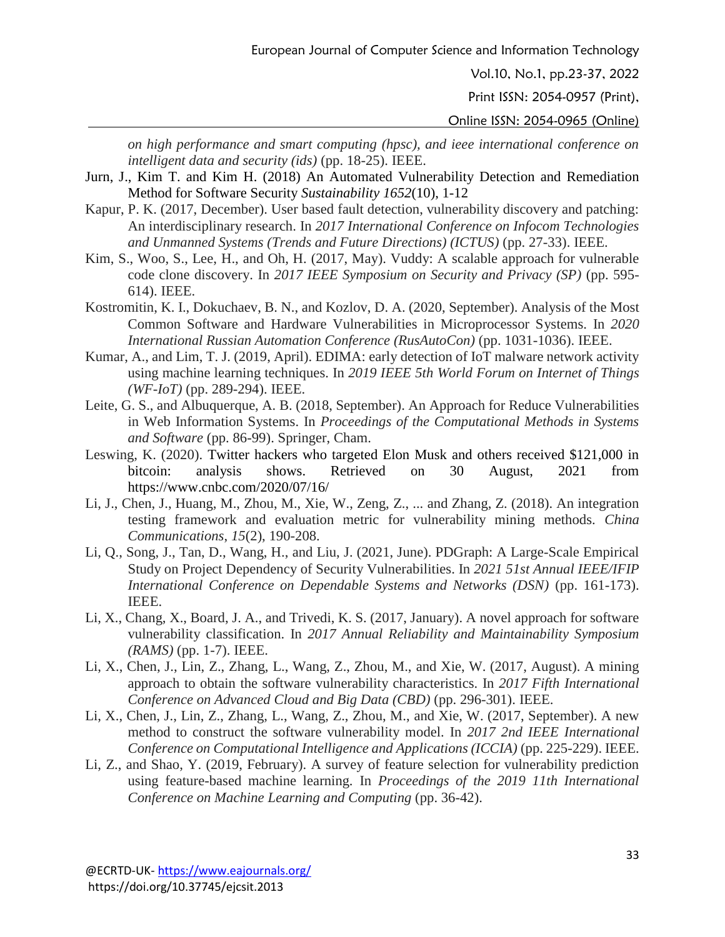European Journal of Computer Science and Information Technology

Vol.10, No.1, pp.23-37, 2022

Print ISSN: 2054-0957 (Print),

Online ISSN: 2054-0965 (Online)

*on high performance and smart computing (hpsc), and ieee international conference on intelligent data and security (ids)* (pp. 18-25). IEEE.

- Jurn, J., Kim T. and Kim H. (2018) An Automated Vulnerability Detection and Remediation Method for Software Security *Sustainability 1652*(10), 1-12
- Kapur, P. K. (2017, December). User based fault detection, vulnerability discovery and patching: An interdisciplinary research. In *2017 International Conference on Infocom Technologies and Unmanned Systems (Trends and Future Directions) (ICTUS)* (pp. 27-33). IEEE.
- Kim, S., Woo, S., Lee, H., and Oh, H. (2017, May). Vuddy: A scalable approach for vulnerable code clone discovery. In *2017 IEEE Symposium on Security and Privacy (SP)* (pp. 595- 614). IEEE.
- Kostromitin, K. I., Dokuchaev, B. N., and Kozlov, D. A. (2020, September). Analysis of the Most Common Software and Hardware Vulnerabilities in Microprocessor Systems. In *2020 International Russian Automation Conference (RusAutoCon)* (pp. 1031-1036). IEEE.
- Kumar, A., and Lim, T. J. (2019, April). EDIMA: early detection of IoT malware network activity using machine learning techniques. In *2019 IEEE 5th World Forum on Internet of Things (WF-IoT)* (pp. 289-294). IEEE.
- Leite, G. S., and Albuquerque, A. B. (2018, September). An Approach for Reduce Vulnerabilities in Web Information Systems. In *Proceedings of the Computational Methods in Systems and Software* (pp. 86-99). Springer, Cham.
- Leswing, K. (2020). Twitter hackers who targeted Elon Musk and others received \$121,000 in bitcoin: analysis shows. Retrieved on 30 August, 2021 from https://www.cnbc.com/2020/07/16/
- Li, J., Chen, J., Huang, M., Zhou, M., Xie, W., Zeng, Z., ... and Zhang, Z. (2018). An integration testing framework and evaluation metric for vulnerability mining methods. *China Communications*, *15*(2), 190-208.
- Li, Q., Song, J., Tan, D., Wang, H., and Liu, J. (2021, June). PDGraph: A Large-Scale Empirical Study on Project Dependency of Security Vulnerabilities. In *2021 51st Annual IEEE/IFIP International Conference on Dependable Systems and Networks (DSN)* (pp. 161-173). IEEE.
- Li, X., Chang, X., Board, J. A., and Trivedi, K. S. (2017, January). A novel approach for software vulnerability classification. In *2017 Annual Reliability and Maintainability Symposium (RAMS)* (pp. 1-7). IEEE.
- Li, X., Chen, J., Lin, Z., Zhang, L., Wang, Z., Zhou, M., and Xie, W. (2017, August). A mining approach to obtain the software vulnerability characteristics. In *2017 Fifth International Conference on Advanced Cloud and Big Data (CBD)* (pp. 296-301). IEEE.
- Li, X., Chen, J., Lin, Z., Zhang, L., Wang, Z., Zhou, M., and Xie, W. (2017, September). A new method to construct the software vulnerability model. In *2017 2nd IEEE International Conference on Computational Intelligence and Applications (ICCIA)* (pp. 225-229). IEEE.
- Li, Z., and Shao, Y. (2019, February). A survey of feature selection for vulnerability prediction using feature-based machine learning. In *Proceedings of the 2019 11th International Conference on Machine Learning and Computing* (pp. 36-42).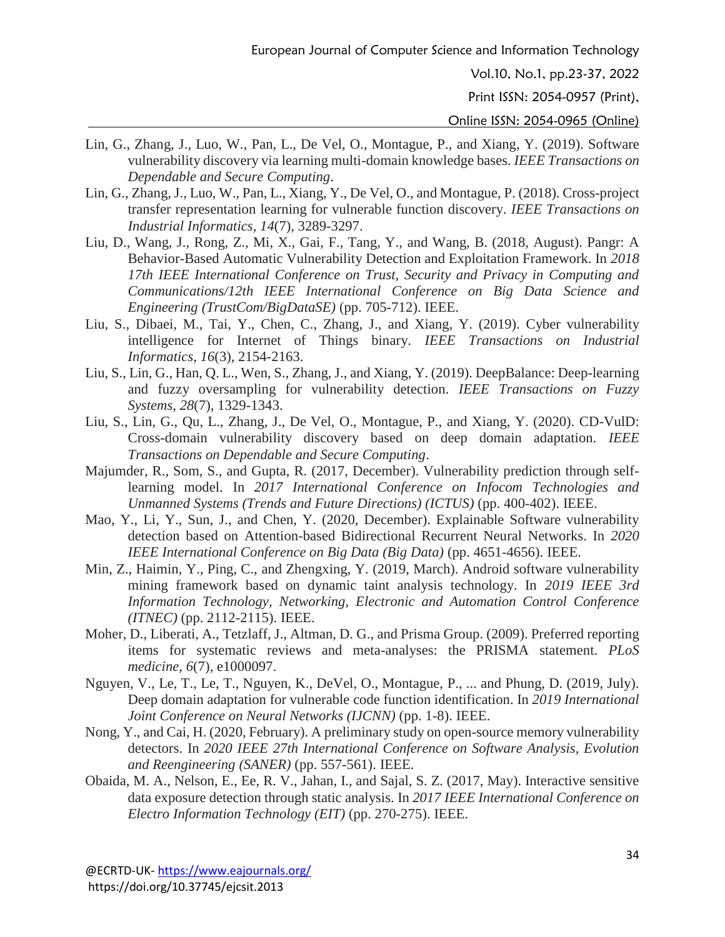Print ISSN: 2054-0957 (Print),

- Lin, G., Zhang, J., Luo, W., Pan, L., De Vel, O., Montague, P., and Xiang, Y. (2019). Software vulnerability discovery via learning multi-domain knowledge bases. *IEEE Transactions on Dependable and Secure Computing*.
- Lin, G., Zhang, J., Luo, W., Pan, L., Xiang, Y., De Vel, O., and Montague, P. (2018). Cross-project transfer representation learning for vulnerable function discovery. *IEEE Transactions on Industrial Informatics*, *14*(7), 3289-3297.
- Liu, D., Wang, J., Rong, Z., Mi, X., Gai, F., Tang, Y., and Wang, B. (2018, August). Pangr: A Behavior-Based Automatic Vulnerability Detection and Exploitation Framework. In *2018 17th IEEE International Conference on Trust, Security and Privacy in Computing and Communications/12th IEEE International Conference on Big Data Science and Engineering (TrustCom/BigDataSE)* (pp. 705-712). IEEE.
- Liu, S., Dibaei, M., Tai, Y., Chen, C., Zhang, J., and Xiang, Y. (2019). Cyber vulnerability intelligence for Internet of Things binary. *IEEE Transactions on Industrial Informatics*, *16*(3), 2154-2163.
- Liu, S., Lin, G., Han, Q. L., Wen, S., Zhang, J., and Xiang, Y. (2019). DeepBalance: Deep-learning and fuzzy oversampling for vulnerability detection. *IEEE Transactions on Fuzzy Systems*, *28*(7), 1329-1343.
- Liu, S., Lin, G., Qu, L., Zhang, J., De Vel, O., Montague, P., and Xiang, Y. (2020). CD-VulD: Cross-domain vulnerability discovery based on deep domain adaptation. *IEEE Transactions on Dependable and Secure Computing*.
- Majumder, R., Som, S., and Gupta, R. (2017, December). Vulnerability prediction through selflearning model. In *2017 International Conference on Infocom Technologies and Unmanned Systems (Trends and Future Directions) (ICTUS)* (pp. 400-402). IEEE.
- Mao, Y., Li, Y., Sun, J., and Chen, Y. (2020, December). Explainable Software vulnerability detection based on Attention-based Bidirectional Recurrent Neural Networks. In *2020 IEEE International Conference on Big Data (Big Data)* (pp. 4651-4656). IEEE.
- Min, Z., Haimin, Y., Ping, C., and Zhengxing, Y. (2019, March). Android software vulnerability mining framework based on dynamic taint analysis technology. In *2019 IEEE 3rd Information Technology, Networking, Electronic and Automation Control Conference (ITNEC)* (pp. 2112-2115). IEEE.
- Moher, D., Liberati, A., Tetzlaff, J., Altman, D. G., and Prisma Group. (2009). Preferred reporting items for systematic reviews and meta-analyses: the PRISMA statement. *PLoS medicine*, *6*(7), e1000097.
- Nguyen, V., Le, T., Le, T., Nguyen, K., DeVel, O., Montague, P., ... and Phung, D. (2019, July). Deep domain adaptation for vulnerable code function identification. In *2019 International Joint Conference on Neural Networks (IJCNN)* (pp. 1-8). IEEE.
- Nong, Y., and Cai, H. (2020, February). A preliminary study on open-source memory vulnerability detectors. In *2020 IEEE 27th International Conference on Software Analysis, Evolution and Reengineering (SANER)* (pp. 557-561). IEEE.
- Obaida, M. A., Nelson, E., Ee, R. V., Jahan, I., and Sajal, S. Z. (2017, May). Interactive sensitive data exposure detection through static analysis. In *2017 IEEE International Conference on Electro Information Technology (EIT)* (pp. 270-275). IEEE.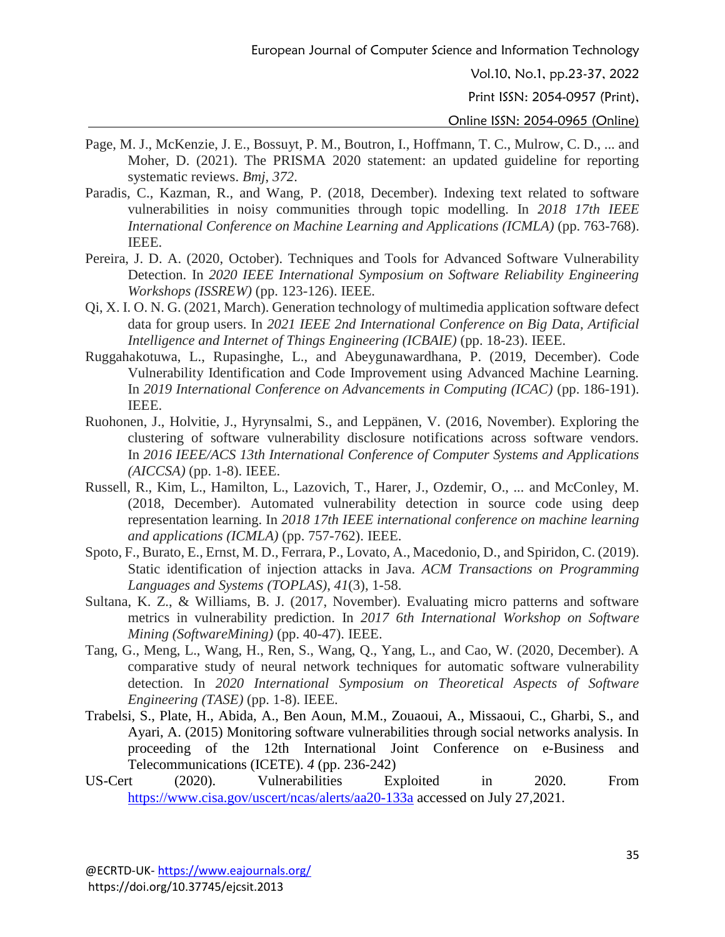Print ISSN: 2054-0957 (Print),

- Page, M. J., McKenzie, J. E., Bossuyt, P. M., Boutron, I., Hoffmann, T. C., Mulrow, C. D., ... and Moher, D. (2021). The PRISMA 2020 statement: an updated guideline for reporting systematic reviews. *Bmj*, *372*.
- Paradis, C., Kazman, R., and Wang, P. (2018, December). Indexing text related to software vulnerabilities in noisy communities through topic modelling. In *2018 17th IEEE International Conference on Machine Learning and Applications (ICMLA)* (pp. 763-768). IEEE.
- Pereira, J. D. A. (2020, October). Techniques and Tools for Advanced Software Vulnerability Detection. In *2020 IEEE International Symposium on Software Reliability Engineering Workshops (ISSREW)* (pp. 123-126). IEEE.
- Qi, X. I. O. N. G. (2021, March). Generation technology of multimedia application software defect data for group users. In *2021 IEEE 2nd International Conference on Big Data, Artificial Intelligence and Internet of Things Engineering (ICBAIE)* (pp. 18-23). IEEE.
- Ruggahakotuwa, L., Rupasinghe, L., and Abeygunawardhana, P. (2019, December). Code Vulnerability Identification and Code Improvement using Advanced Machine Learning. In *2019 International Conference on Advancements in Computing (ICAC)* (pp. 186-191). IEEE.
- Ruohonen, J., Holvitie, J., Hyrynsalmi, S., and Leppänen, V. (2016, November). Exploring the clustering of software vulnerability disclosure notifications across software vendors. In *2016 IEEE/ACS 13th International Conference of Computer Systems and Applications (AICCSA)* (pp. 1-8). IEEE.
- Russell, R., Kim, L., Hamilton, L., Lazovich, T., Harer, J., Ozdemir, O., ... and McConley, M. (2018, December). Automated vulnerability detection in source code using deep representation learning. In *2018 17th IEEE international conference on machine learning and applications (ICMLA)* (pp. 757-762). IEEE.
- Spoto, F., Burato, E., Ernst, M. D., Ferrara, P., Lovato, A., Macedonio, D., and Spiridon, C. (2019). Static identification of injection attacks in Java. *ACM Transactions on Programming Languages and Systems (TOPLAS)*, *41*(3), 1-58.
- Sultana, K. Z., & Williams, B. J. (2017, November). Evaluating micro patterns and software metrics in vulnerability prediction. In *2017 6th International Workshop on Software Mining (SoftwareMining)* (pp. 40-47). IEEE.
- Tang, G., Meng, L., Wang, H., Ren, S., Wang, Q., Yang, L., and Cao, W. (2020, December). A comparative study of neural network techniques for automatic software vulnerability detection. In *2020 International Symposium on Theoretical Aspects of Software Engineering (TASE)* (pp. 1-8). IEEE.
- Trabelsi, S., Plate, H., Abida, A., Ben Aoun, M.M., Zouaoui, A., Missaoui, C., Gharbi, S., and Ayari, A. (2015) Monitoring software vulnerabilities through social networks analysis. In proceeding of the 12th International Joint Conference on e-Business and Telecommunications (ICETE). *4* (pp. 236-242)
- US-Cert (2020). Vulnerabilities Exploited in 2020. From <https://www.cisa.gov/uscert/ncas/alerts/aa20-133a> accessed on July 27,2021.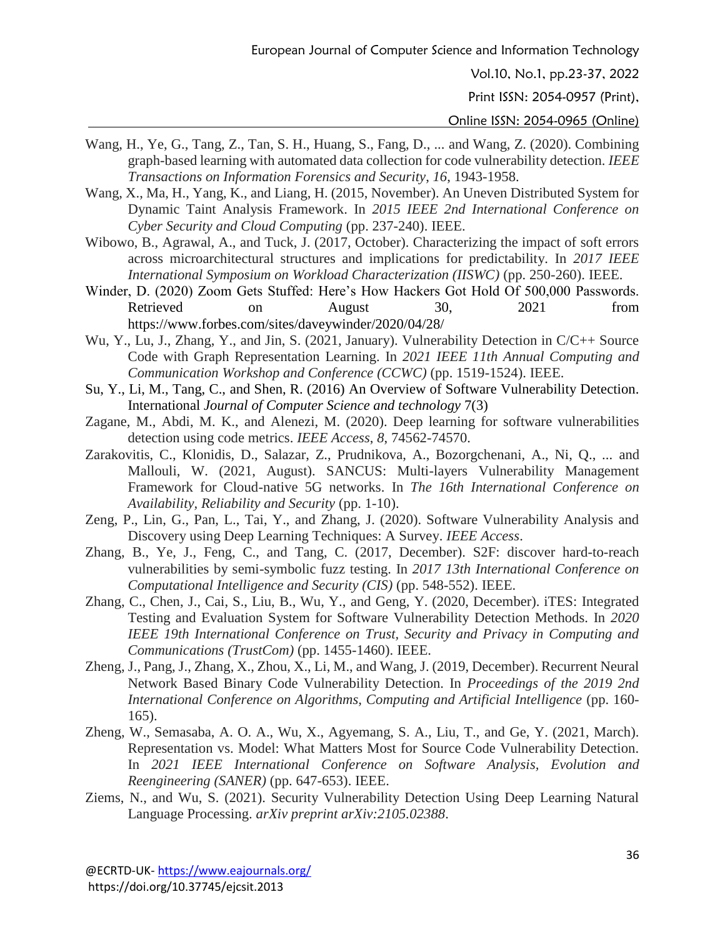Print ISSN: 2054-0957 (Print),

- Wang, H., Ye, G., Tang, Z., Tan, S. H., Huang, S., Fang, D., ... and Wang, Z. (2020). Combining graph-based learning with automated data collection for code vulnerability detection. *IEEE Transactions on Information Forensics and Security*, *16*, 1943-1958.
- Wang, X., Ma, H., Yang, K., and Liang, H. (2015, November). An Uneven Distributed System for Dynamic Taint Analysis Framework. In *2015 IEEE 2nd International Conference on Cyber Security and Cloud Computing* (pp. 237-240). IEEE.
- Wibowo, B., Agrawal, A., and Tuck, J. (2017, October). Characterizing the impact of soft errors across microarchitectural structures and implications for predictability. In *2017 IEEE International Symposium on Workload Characterization (IISWC)* (pp. 250-260). IEEE.
- Winder, D. (2020) Zoom Gets Stuffed: Here's How Hackers Got Hold Of 500,000 Passwords. Retrieved on August 30, 2021 from https://www.forbes.com/sites/daveywinder/2020/04/28/
- Wu, Y., Lu, J., Zhang, Y., and Jin, S. (2021, January). Vulnerability Detection in C/C++ Source Code with Graph Representation Learning. In *2021 IEEE 11th Annual Computing and Communication Workshop and Conference (CCWC)* (pp. 1519-1524). IEEE.
- Su, Y., Li, M., Tang, C., and Shen, R. (2016) An Overview of Software Vulnerability Detection. International *Journal of Computer Science and technology* 7(3)
- Zagane, M., Abdi, M. K., and Alenezi, M. (2020). Deep learning for software vulnerabilities detection using code metrics. *IEEE Access*, *8*, 74562-74570.
- Zarakovitis, C., Klonidis, D., Salazar, Z., Prudnikova, A., Bozorgchenani, A., Ni, Q., ... and Mallouli, W. (2021, August). SANCUS: Multi-layers Vulnerability Management Framework for Cloud-native 5G networks. In *The 16th International Conference on Availability, Reliability and Security* (pp. 1-10).
- Zeng, P., Lin, G., Pan, L., Tai, Y., and Zhang, J. (2020). Software Vulnerability Analysis and Discovery using Deep Learning Techniques: A Survey. *IEEE Access*.
- Zhang, B., Ye, J., Feng, C., and Tang, C. (2017, December). S2F: discover hard-to-reach vulnerabilities by semi-symbolic fuzz testing. In *2017 13th International Conference on Computational Intelligence and Security (CIS)* (pp. 548-552). IEEE.
- Zhang, C., Chen, J., Cai, S., Liu, B., Wu, Y., and Geng, Y. (2020, December). iTES: Integrated Testing and Evaluation System for Software Vulnerability Detection Methods. In *2020 IEEE 19th International Conference on Trust, Security and Privacy in Computing and Communications (TrustCom)* (pp. 1455-1460). IEEE.
- Zheng, J., Pang, J., Zhang, X., Zhou, X., Li, M., and Wang, J. (2019, December). Recurrent Neural Network Based Binary Code Vulnerability Detection. In *Proceedings of the 2019 2nd International Conference on Algorithms, Computing and Artificial Intelligence* (pp. 160- 165).
- Zheng, W., Semasaba, A. O. A., Wu, X., Agyemang, S. A., Liu, T., and Ge, Y. (2021, March). Representation vs. Model: What Matters Most for Source Code Vulnerability Detection. In *2021 IEEE International Conference on Software Analysis, Evolution and Reengineering (SANER)* (pp. 647-653). IEEE.
- Ziems, N., and Wu, S. (2021). Security Vulnerability Detection Using Deep Learning Natural Language Processing. *arXiv preprint arXiv:2105.02388*.